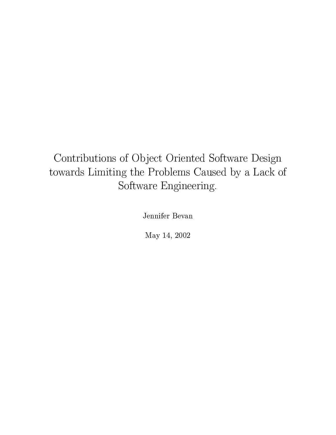## Contributions of Object Oriented Software Design towards Limiting the Problems Caused by a Lack of  $\,$ Software Engineering.

Jennifer Bevan

May 14, 2002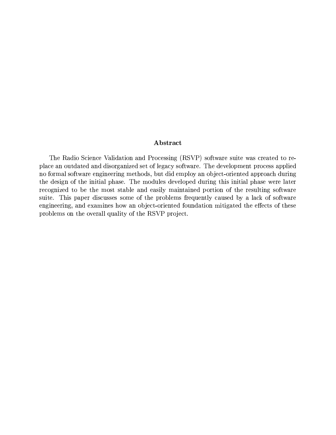### Abstract

The Radio Science Validation and Processing (RSVP) software suite was created to replace an outdated and disorganized set of legacy software. The development process applied no formal software engineering methods, but did employ an object-oriented approach during the design of the initial phase. The modules developed during this initial phase were later recognized to be the most stable and easily maintained portion of the resulting software suite. This paper discusses some of the problems frequently caused by a lack of software engineering, and examines how an object-oriented foundation mitigated the effects of these problems on the overall quality of the RSVP project.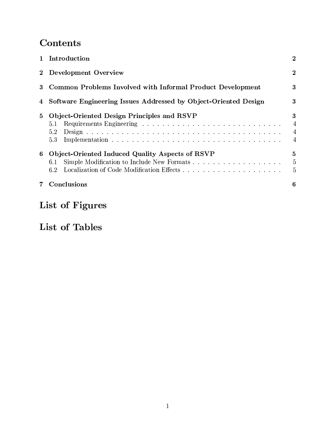## Contents

|          | 1 Introduction                                                  | $\overline{2}$                             |
|----------|-----------------------------------------------------------------|--------------------------------------------|
| $\bf{2}$ | Development Overview                                            | $\overline{2}$                             |
| 3        | Common Problems Involved with Informal Product Development      | 3                                          |
| 4        | Software Engineering Issues Addressed by Object-Oriented Design | 3                                          |
| 5        | Object-Oriented Design Principles and RSVP<br>5.1<br>5.2<br>5.3 | 3<br>4<br>$\overline{4}$<br>$\overline{4}$ |
| 6        | Object-Oriented Induced Quality Aspects of RSVP<br>6.1<br>6.2   | 5<br>$\overline{5}$<br>5                   |
|          | Conclusions                                                     | 6                                          |

# List of Figures

## List of Tables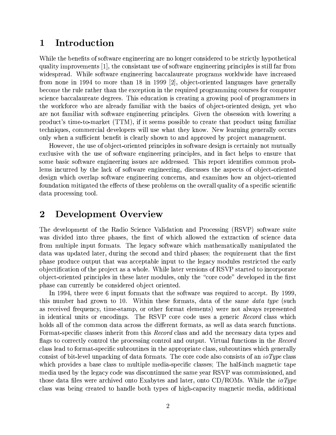#### Introduction 1

While the benefits of software engineering are no longer considered to be strictly hypothetical quality improvements [1], the consistant use of software engineering principles is still far from widespread. While software engineering baccalaureate programs worldwide have increased from none in 1994 to more than 18 in 1999 [2], object-oriented languages have generally become the rule rather than the exception in the required programming courses for computer science baccalaureate degrees. This education is creating a growing pool of programmers in the workforce who are already familiar with the basics of object-oriented design, yet who are not familiar with software engineering principles. Given the obsession with lowering a product's time-to-market (TTM), if it seems possible to create that product using familiar techniques, commercial developers will use what they know. New learning generally occurs only when a sufficient benefit is clearly shown to and approved by project management.

However, the use of object-oriented principles in software design is certainly not mutually exclusive with the use of software engineering principles, and in fact helps to ensure that some basic software engineering issues are addressed. This report identifies common problems incurred by the lack of software engineering, discusses the aspects of object-oriented design which overlap software engineering concerns, and examines how an object-oriented foundation mitigated the effects of these problems on the overall quality of a specific scientific data processing tool.

#### $\overline{2}$ **Development Overview**

The development of the Radio Science Validation and Processing (RSVP) software suite was divided into three phases, the first of which allowed the extraction of science data from multiple input formats. The legacy software which mathematically manipulated the data was updated later, during the second and third phases; the requirement that the first phase produce output that was acceptable input to the legacy modules restricted the early objectification of the project as a whole. While later versions of RSVP started to incorporate object-oriented principles in these later modules, only the "core code" developed in the first phase can currently be considered object oriented.

In 1994, there were 6 input formats that the software was required to accept. By 1999. this number had grown to 10. Within these formats, data of the same *data type* (such as received frequency, time-stamp, or other format elements) were not always represented in identical units or encodings. The RSVP core code uses a generic Record class which holds all of the common data across the different formats, as well as data search functions. Format-specific classes inherit from this Record class and add the necessary data types and flags to correctly control the processing control and output. Virtual functions in the Record class lead to format-specific subroutines in the appropriate class, subroutines which generally consist of bit-level unpacking of data formats. The core code also consists of an *ioType* class which provides a base class to multiple media-specific classes; The half-inch magnetic tape media used by the legacy code was discontinued the same year RSVP was commissioned, and those data files were archived onto Exabytes and later, onto CD/ROMs. While the *ioType* class was being created to handle both types of high-capacity magnetic media, additional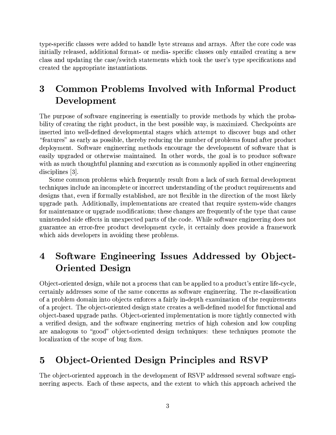type-specific classes were added to handle byte streams and arrays. After the core code was initially released, additional format- or media-specific classes only entailed creating a new class and updating the case/switch statements which took the user's type specifications and created the appropriate instantiations.

### 3 Common Problems Involved with Informal Product Development

The purpose of software engineering is essentially to provide methods by which the probability of creating the right product, in the best possible way, is maximized. Checkpoints are inserted into well-defined developmental stages which attempt to discover bugs and other "features" as early as possible, thereby reducing the number of problems found after product deployment. Software engineering methods encourage the development of software that is easily upgraded or otherwise maintained. In other words, the goal is to produce software with as much thoughtful planning and execution as is commonly applied in other engineering  $disciplines [3].$ 

Some common problems which frequently result from a lack of such formal development techniques include an incomplete or incorrect understanding of the product requirements and designs that, even if formally established, are not flexible in the direction of the most likely upgrade path. Additionally, implementations are created that require system-wide changes for maintenance or upgrade modifications; these changes are frequently of the type that cause unintended side effects in unexpected parts of the code. While software engineering does not guarantee an error-free product development cycle, it certainly does provide a framework which aids developers in avoiding these problems.

### Software Engineering Issues Addressed by Object-4 **Oriented Design**

Object-oriented design, while not a process that can be applied to a product's entire life-cycle. certainly addresses some of the same concerns as software engineering. The re-classification of a problem domain into objects enforces a fairly in-depth examination of the requirements of a project. The object-oriented design state creates a well-defined model for functional and object-based upgrade paths. Object-oriented implementation is more tightly connected with a verified design, and the software engineering metrics of high cohesion and low coupling are analogous to "good" object-oriented design techniques: these techniques promote the localization of the scope of bug fixes.

#### **Object-Oriented Design Principles and RSVP**  $\overline{5}$

The object-oriented approach in the development of RSVP addressed several software engineering aspects. Each of these aspects, and the extent to which this approach acheived the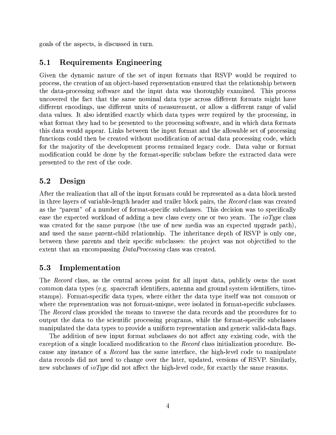goals of the aspects, is discussed in turn.

#### $5.1$ Requirements Engineering

Given the dynamic nature of the set of input formats that RSVP would be required to process, the creation of an object-based representation ensured that the relationship between the data-processing software and the input data was thoroughly examined. This process uncovered the fact that the same nominal data type across different formats might have different encodings, use different units of measurement, or allow a different range of valid data values. It also identified exactly which data types were required by the processing, in what format they had to be presented to the processing software, and in which data formats this data would appear. Links between the input format and the allowable set of processing functions could then be created without modification of actual data processing code, which for the majority of the development process remained legacy code. Data value or format modification could be done by the format-specific subclass before the extracted data were presented to the rest of the code.

#### $5.2$ Design

After the realization that all of the input formats could be represented as a data block nested in three layers of variable-length header and trailer block pairs, the Record class was created as the "parent" of a number of format-specific subclasses. This decision was to specifically ease the expected workload of adding a new class every one or two years. The *ioType* class was created for the same purpose (the use of new media was an expected upgrade path), and used the same parent-child relationship. The inheritance depth of RSVP is only one, between these parents and their specific subclasses: the project was not objectified to the extent that an encompassing *DataProcessing* class was created.

#### $5.3$ Implementation

The *Record* class, as the central access point for all input data, publicly owns the most common data types (e.g. spacecraft identifiers, antenna and ground system identifiers, timestamps). Format-specific data types, where either the data type itself was not common or where the representation was not format-unique, were isolated in format-specific subclasses. The Record class provided the means to traverse the data records and the procedures for to output the data to the scientific processing programs, while the format-specific subclasses manipulated the data types to provide a uniform representation and generic valid-data flags.

The addition of new input format subclasses do not affect any existing code, with the exception of a single localized modification to the *Record* class initialization procedure. Because any instance of a *Record* has the same interface, the high-level code to manipulate data records did not need to change over the later, updated, versions of RSVP. Similarly, new subclasses of *ioType* did not affect the high-level code, for exactly the same reasons.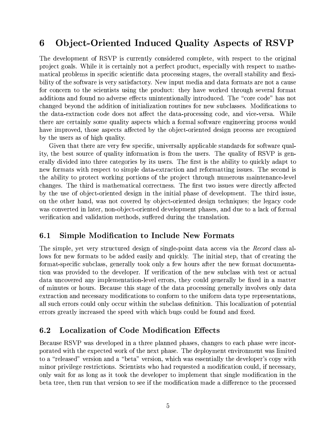#### **Object-Oriented Induced Quality Aspects of RSVP** 6

The development of RSVP is currently considered complete, with respect to the original project goals. While it is certainly not a perfect product, especially with respect to mathematical problems in specific scientific data processing stages, the overall stability and flexibility of the software is very satisfactory. New input media and data formats are not a cause for concern to the scientists using the product: they have worked through several format additions and found no adverse effects unintentionally introduced. The "core code" has not changed beyond the addition of initialization routines for new subclasses. Modifications to the data-extraction code does not affect the data-processing code, and vice-versa. While there are certainly some quality aspects which a formal software engineering process would have improved, those aspects affected by the object-oriented design process are recognized by the users as of high quality.

Given that there are very few specific, universally applicable standards for software quality, the best source of quality information is from the users. The quality of RSVP is generally divided into three categories by its users. The first is the ability to quickly adapt to new formats with respect to simple data-extraction and reformatting issues. The second is the ability to protect working portions of the project through numerous maintenance-level changes. The third is mathematical correctness. The first two issues were directly affected by the use of object-oriented design in the initial phase of development. The third issue, on the other hand, was not covered by object-oriented design techniques; the legacy code was converted in later, non-object-oriented development phases, and due to a lack of formal verification and validation methods, suffered during the translation.

#### **Simple Modification to Include New Formats**  $6.1$

The simple, yet very structured design of single-point data access via the Record class allows for new formats to be added easily and quickly. The initial step, that of creating the format-specific subclass, generally took only a few hours after the new format documentation was provided to the developer. If verification of the new subclass with test or actual data uncovered any implementation-level errors, they could generally be fixed in a matter of minutes or hours. Because this stage of the data processing generally involves only data extraction and necessary modifications to conform to the uniform data type representations, all such errors could only occur within the subclass definition. This localization of potential errors greatly increased the speed with which bugs could be found and fixed.

#### $6.2$ **Localization of Code Modification Effects**

Because RSVP was developed in a three planned phases, changes to each phase were incorporated with the expected work of the next phase. The deployment environment was limited to a "released" version and a "beta" version, which was essentially the developer's copy with minor privilege restrictions. Scientists who had requested a modification could, if necessary, only wait for as long as it took the developer to implement that single modification in the beta tree, then run that version to see if the modification made a difference to the processed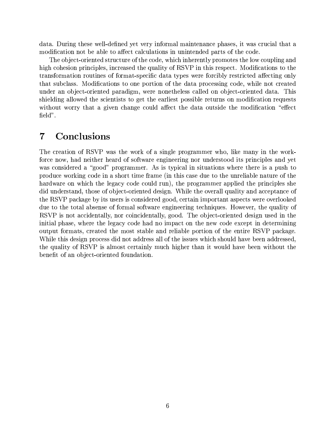data. During these well-defined yet very informal maintenance phases, it was crucial that a modification not be able to affect calculations in unintended parts of the code.

The object-oriented structure of the code, which inherently promotes the low coupling and high cohesion principles, increased the quality of RSVP in this respect. Modifications to the transformation routines of format-specific data types were forcibly restricted affecting only that subclass. Modifications to one portion of the data processing code, while not created under an object-oriented paradigm, were nonetheless called on object-oriented data. This shielding allowed the scientists to get the earliest possible returns on modification requests without worry that a given change could affect the data outside the modification "effect" field".

#### Conclusions  $\overline{7}$

The creation of RSVP was the work of a single programmer who, like many in the workforce now, had neither heard of software engineering nor understood its principles and yet was considered a "good" programmer. As is typical in situations where there is a push to produce working code in a short time frame (in this case due to the unreliable nature of the hardware on which the legacy code could run), the programmer applied the principles she did understand, those of object-oriented design. While the overall quality and acceptance of the RSVP package by its users is considered good, certain important aspects were overlooked due to the total absense of formal software engineering techniques. However, the quality of RSVP is not accidentally, nor coincidentally, good. The object-oriented design used in the initial phase, where the legacy code had no impact on the new code except in determining output formats, created the most stable and reliable portion of the entire RSVP package. While this design process did not address all of the issues which should have been addressed, the quality of RSVP is almost certainly much higher than it would have been without the benefit of an object-oriented foundation.